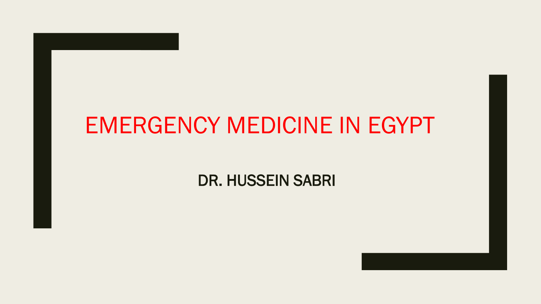

DR. HUSSEIN SABRI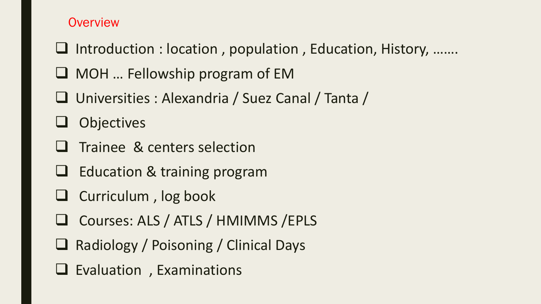#### **Overview**

- $\Box$  Introduction : location, population, Education, History, .......
- $\Box$  MOH ... Fellowship program of EM
- Universities : Alexandria / Suez Canal / Tanta /
- **Q** Objectives
- $\Box$  Trainee & centers selection
- **ED** Education & training program
- **Q** Curriculum, log book
- Courses: ALS / ATLS / HMIMMS /EPLS
- Radiology / Poisoning / Clinical Days
- $\Box$  Evaluation, Examinations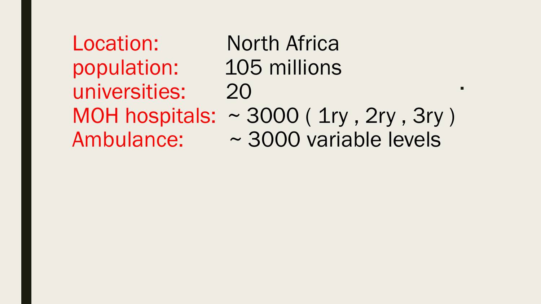Location: North Africa population: 105 millions universities: 20 Ambulance: ~ 3000 variable levels

 ■ MOH hospitals:  $\sim$  3000 (1ry, 2ry, 3ry)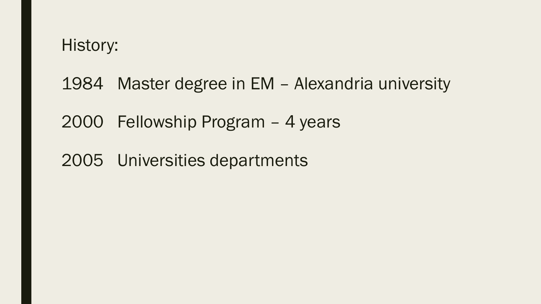### History:

1984 Master degree in EM – Alexandria university

2000 Fellowship Program – 4 years

2005 Universities departments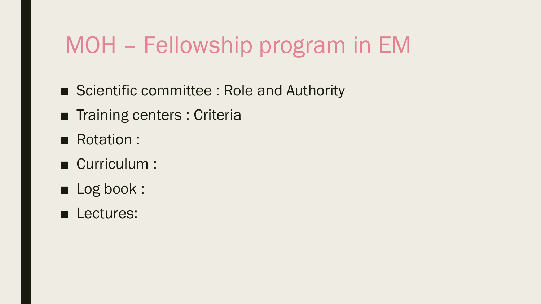## MOH – Fellowship program in EM

- Scientific committee : Role and Authority
- Training centers : Criteria
- Rotation :
- Curriculum :
- Log book :
- Lectures: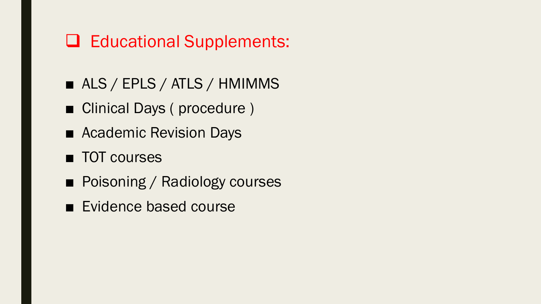### **Q** Educational Supplements:

- ALS / EPLS / ATLS / HMIMMS
- Clinical Days (procedure)
- Academic Revision Days
- TOT courses
- Poisoning / Radiology courses
- Evidence based course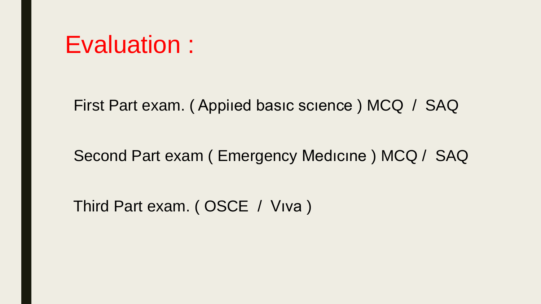### Evaluation :

First Part exam. ( Appiıed basıc scıence ) MCQ / SAQ

Second Part exam ( Emergency Medıcıne ) MCQ / SAQ

Third Part exam. ( OSCE / Vıva )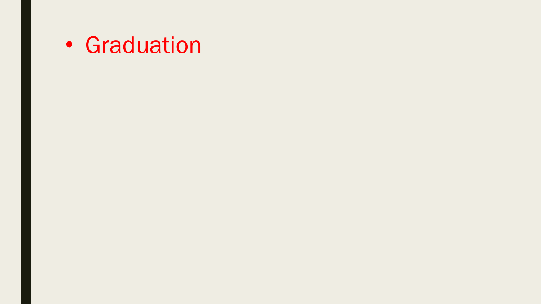• Graduation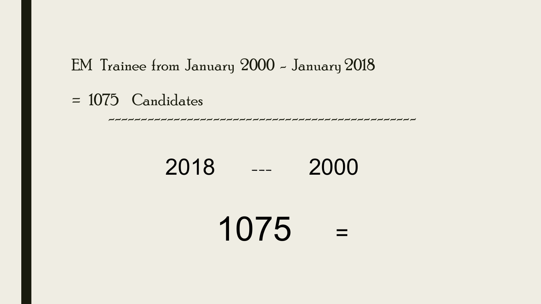### EM Trainee from January 2000 - January 2018

#### = 1075 Candidates  $\overline{a}$

-----------------------------------------------

2018 --- 2000

1075<sup>=</sup>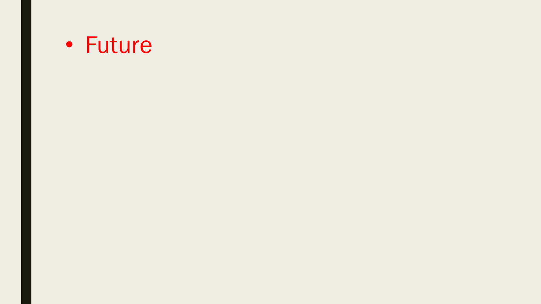### • Future